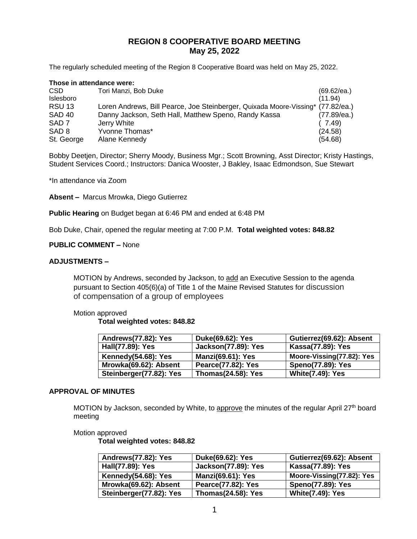# **REGION 8 COOPERATIVE BOARD MEETING May 25, 2022**

The regularly scheduled meeting of the Region 8 Cooperative Board was held on May 25, 2022.

#### **Those in attendance were:** CSD Tori Manzi, Bob Duke (69.62/ea.) Islesboro (11.94) RSU 13 Loren Andrews, Bill Pearce, Joe Steinberger, Quixada Moore-Vissing\* (77.82/ea.) SAD 40 Danny Jackson, Seth Hall, Matthew Speno, Randy Kassa (77.89/ea.) SAD 7 Jerry White ( 7.49) SAD 8 Yvonne Thomas\* (24.58) St. George Alane Kennedy (54.68)

Bobby Deetjen, Director; Sherry Moody, Business Mgr.; Scott Browning, Asst Director; Kristy Hastings, Student Services Coord.; Instructors: Danica Wooster, J Bakley, Isaac Edmondson, Sue Stewart

\*In attendance via Zoom

**Absent –** Marcus Mrowka, Diego Gutierrez

**Public Hearing** on Budget began at 6:46 PM and ended at 6:48 PM

Bob Duke, Chair, opened the regular meeting at 7:00 P.M. **Total weighted votes: 848.82**

#### **PUBLIC COMMENT –** None

#### **ADJUSTMENTS –**

MOTION by Andrews, seconded by Jackson, to add an Executive Session to the agenda pursuant to Section 405(6)(a) of Title 1 of the Maine Revised Statutes for discussion of compensation of a group of employees

#### Motion approved

**Total weighted votes: 848.82**

| Andrews(77.82): Yes     | Duke(69.62): Yes           | Gutierrez(69.62): Absent  |
|-------------------------|----------------------------|---------------------------|
| Hall(77.89): Yes        | <b>Jackson(77.89): Yes</b> | Kassa(77.89): Yes         |
| Kennedy(54.68): Yes     | <b>Manzi(69.61): Yes</b>   | Moore-Vissing(77.82): Yes |
| Mrowka(69.62): Absent   | Pearce(77.82): Yes         | <b>Speno(77.89): Yes</b>  |
| Steinberger(77.82): Yes | <b>Thomas(24.58): Yes</b>  | <b>White(7.49): Yes</b>   |

#### **APPROVAL OF MINUTES**

MOTION by Jackson, seconded by White, to approve the minutes of the regular April 27<sup>th</sup> board meeting

#### Motion approved

**Total weighted votes: 848.82**

| Andrews(77.82): Yes     | Duke(69.62): Yes           | Gutierrez(69.62): Absent  |
|-------------------------|----------------------------|---------------------------|
| Hall(77.89): Yes        | <b>Jackson(77.89): Yes</b> | Kassa(77.89): Yes         |
| Kennedy(54.68): Yes     | <b>Manzi(69.61): Yes</b>   | Moore-Vissing(77.82): Yes |
| Mrowka(69.62): Absent   | Pearce(77.82): Yes         | <b>Speno(77.89): Yes</b>  |
| Steinberger(77.82): Yes | <b>Thomas(24.58): Yes</b>  | <b>White(7.49): Yes</b>   |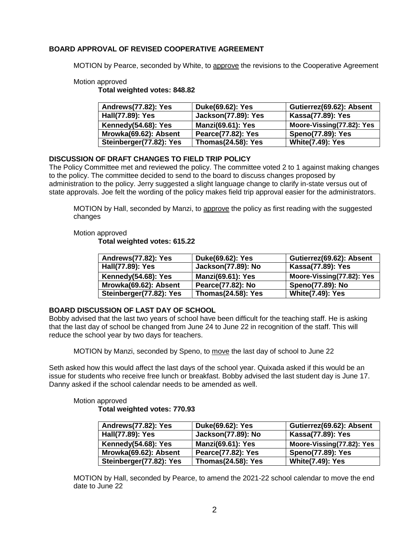## **BOARD APPROVAL OF REVISED COOPERATIVE AGREEMENT**

MOTION by Pearce, seconded by White, to approve the revisions to the Cooperative Agreement

## Motion approved

**Total weighted votes: 848.82**

| Andrews(77.82): Yes     | Duke(69.62): Yes           | Gutierrez(69.62): Absent  |
|-------------------------|----------------------------|---------------------------|
| Hall(77.89): Yes        | <b>Jackson(77.89): Yes</b> | Kassa(77.89): Yes         |
| Kennedy(54.68): Yes     | <b>Manzi(69.61): Yes</b>   | Moore-Vissing(77.82): Yes |
| Mrowka(69.62): Absent   | Pearce(77.82): Yes         | <b>Speno(77.89): Yes</b>  |
| Steinberger(77.82): Yes | <b>Thomas(24.58): Yes</b>  | <b>White(7.49): Yes</b>   |

## **DISCUSSION OF DRAFT CHANGES TO FIELD TRIP POLICY**

The Policy Committee met and reviewed the policy. The committee voted 2 to 1 against making changes to the policy. The committee decided to send to the board to discuss changes proposed by administration to the policy. Jerry suggested a slight language change to clarify in-state versus out of state approvals. Joe felt the wording of the policy makes field trip approval easier for the administrators.

MOTION by Hall, seconded by Manzi, to approve the policy as first reading with the suggested changes

#### Motion approved

**Total weighted votes: 615.22**

| Andrews(77.82): Yes     | Duke(69.62): Yes          | Gutierrez(69.62): Absent  |
|-------------------------|---------------------------|---------------------------|
| Hall(77.89): Yes        | Jackson(77.89): No        | Kassa(77.89): Yes         |
| Kennedy(54.68): Yes     | <b>Manzi(69.61): Yes</b>  | Moore-Vissing(77.82): Yes |
| Mrowka(69.62): Absent   | Pearce(77.82): No         | Speno(77.89): No          |
| Steinberger(77.82): Yes | <b>Thomas(24.58): Yes</b> | <b>White(7.49): Yes</b>   |

## **BOARD DISCUSSION OF LAST DAY OF SCHOOL**

Bobby advised that the last two years of school have been difficult for the teaching staff. He is asking that the last day of school be changed from June 24 to June 22 in recognition of the staff. This will reduce the school year by two days for teachers.

MOTION by Manzi, seconded by Speno, to move the last day of school to June 22

Seth asked how this would affect the last days of the school year. Quixada asked if this would be an issue for students who receive free lunch or breakfast. Bobby advised the last student day is June 17. Danny asked if the school calendar needs to be amended as well.

## Motion approved **Total weighted votes: 770.93**

| Andrews(77.82): Yes     | Duke(69.62): Yes          | Gutierrez(69.62): Absent  |
|-------------------------|---------------------------|---------------------------|
| Hall(77.89): Yes        | Jackson(77.89): No        | Kassa(77.89): Yes         |
| Kennedy(54.68): Yes     | <b>Manzi(69.61): Yes</b>  | Moore-Vissing(77.82): Yes |
| Mrowka(69.62): Absent   | Pearce(77.82): Yes        | <b>Speno(77.89): Yes</b>  |
| Steinberger(77.82): Yes | <b>Thomas(24.58): Yes</b> | <b>White(7.49): Yes</b>   |

MOTION by Hall, seconded by Pearce, to amend the 2021-22 school calendar to move the end date to June 22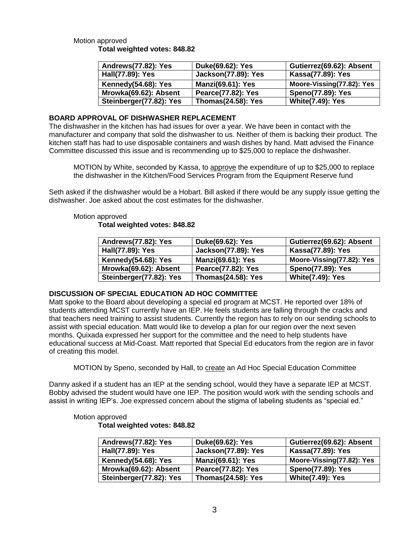## Motion approved **Total weighted votes: 848.82**

| Andrews(77.82): Yes     | Duke(69.62): Yes           | Gutierrez(69.62): Absent  |
|-------------------------|----------------------------|---------------------------|
| Hall(77.89): Yes        | <b>Jackson(77.89): Yes</b> | Kassa(77.89): Yes         |
| Kennedy(54.68): Yes     | <b>Manzi(69.61): Yes</b>   | Moore-Vissing(77.82): Yes |
| Mrowka(69.62): Absent   | Pearce(77.82): Yes         | <b>Speno(77.89): Yes</b>  |
| Steinberger(77.82): Yes | <b>Thomas(24.58): Yes</b>  | <b>White(7.49): Yes</b>   |

## **BOARD APPROVAL OF DISHWASHER REPLACEMENT**

The dishwasher in the kitchen has had issues for over a year. We have been in contact with the manufacturer and company that sold the dishwasher to us. Neither of them is backing their product. The kitchen staff has had to use disposable containers and wash dishes by hand. Matt advised the Finance Committee discussed this issue and is recommending up to \$25,000 to replace the dishwasher.

MOTION by White, seconded by Kassa, to approve the expenditure of up to \$25,000 to replace the dishwasher in the Kitchen/Food Services Program from the Equipment Reserve fund

Seth asked if the dishwasher would be a Hobart. Bill asked if there would be any supply issue getting the dishwasher. Joe asked about the cost estimates for the dishwasher.

# Motion approved **Total weighted votes: 848.82**

| <b>Andrews(77.82): Yes</b> | Duke(69.62): Yes           | Gutierrez(69.62): Absent  |
|----------------------------|----------------------------|---------------------------|
| Hall(77.89): Yes           | <b>Jackson(77.89): Yes</b> | Kassa(77.89): Yes         |
| Kennedy(54.68): Yes        | <b>Manzi(69.61): Yes</b>   | Moore-Vissing(77.82): Yes |
| Mrowka(69.62): Absent      | Pearce(77.82): Yes         | <b>Speno(77.89): Yes</b>  |
| Steinberger(77.82): Yes    | <b>Thomas(24.58): Yes</b>  | <b>White(7.49): Yes</b>   |

# **DISCUSSION OF SPECIAL EDUCATION AD HOC COMMITTEE**

Matt spoke to the Board about developing a special ed program at MCST. He reported over 18% of students attending MCST currently have an IEP. He feels students are falling through the cracks and that teachers need training to assist students. Currently the region has to rely on our sending schools to assist with special education. Matt would like to develop a plan for our region over the next seven months. Quixada expressed her support for the committee and the need to help students have educational success at Mid-Coast. Matt reported that Special Ed educators from the region are in favor of creating this model.

MOTION by Speno, seconded by Hall, to create an Ad Hoc Special Education Committee

Danny asked if a student has an IEP at the sending school, would they have a separate IEP at MCST. Bobby advised the student would have one IEP. The position would work with the sending schools and assist in writing IEP's. Joe expressed concern about the stigma of labeling students as "special ed."

| Andrews(77.82): Yes     | Duke(69.62): Yes           | Gutierrez(69.62): Absent  |
|-------------------------|----------------------------|---------------------------|
| Hall(77.89): Yes        | <b>Jackson(77.89): Yes</b> | Kassa(77.89): Yes         |
| Kennedy(54.68): Yes     | <b>Manzi(69.61): Yes</b>   | Moore-Vissing(77.82): Yes |
| Mrowka(69.62): Absent   | Pearce(77.82): Yes         | <b>Speno(77.89): Yes</b>  |
| Steinberger(77.82): Yes | <b>Thomas(24.58): Yes</b>  | <b>White(7.49): Yes</b>   |

# Motion approved

# **Total weighted votes: 848.82**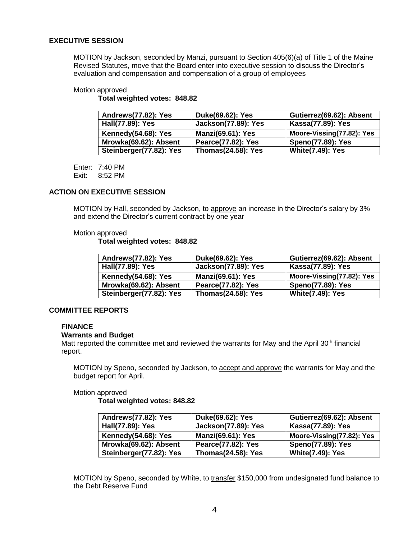## **EXECUTIVE SESSION**

MOTION by Jackson, seconded by Manzi, pursuant to Section 405(6)(a) of Title 1 of the Maine Revised Statutes, move that the Board enter into executive session to discuss the Director's evaluation and compensation and compensation of a group of employees

#### Motion approved

**Total weighted votes: 848.82**

| Andrews(77.82): Yes     | Duke(69.62): Yes           | Gutierrez(69.62): Absent  |
|-------------------------|----------------------------|---------------------------|
| Hall(77.89): Yes        | <b>Jackson(77.89): Yes</b> | Kassa(77.89): Yes         |
| Kennedy(54.68): Yes     | <b>Manzi(69.61): Yes</b>   | Moore-Vissing(77.82): Yes |
| Mrowka(69.62): Absent   | Pearce(77.82): Yes         | <b>Speno(77.89): Yes</b>  |
| Steinberger(77.82): Yes | <b>Thomas(24.58): Yes</b>  | <b>White(7.49): Yes</b>   |

Enter: 7:40 PM Exit: 8:52 PM

#### **ACTION ON EXECUTIVE SESSION**

MOTION by Hall, seconded by Jackson, to approve an increase in the Director's salary by 3% and extend the Director's current contract by one year

#### Motion approved

**Total weighted votes: 848.82**

| Andrews(77.82): Yes     | Duke(69.62): Yes           | Gutierrez(69.62): Absent  |
|-------------------------|----------------------------|---------------------------|
| Hall(77.89): Yes        | <b>Jackson(77.89): Yes</b> | Kassa(77.89): Yes         |
| Kennedy(54.68): Yes     | <b>Manzi(69.61): Yes</b>   | Moore-Vissing(77.82): Yes |
| Mrowka(69.62): Absent   | Pearce(77.82): Yes         | <b>Speno(77.89): Yes</b>  |
| Steinberger(77.82): Yes | <b>Thomas(24.58): Yes</b>  | <b>White(7.49): Yes</b>   |

#### **COMMITTEE REPORTS**

#### **FINANCE**

#### **Warrants and Budget**

Matt reported the committee met and reviewed the warrants for May and the April 30<sup>th</sup> financial report.

MOTION by Speno, seconded by Jackson, to accept and approve the warrants for May and the budget report for April.

#### Motion approved

**Total weighted votes: 848.82**

| Andrews(77.82): Yes        | Duke(69.62): Yes           | Gutierrez(69.62): Absent  |
|----------------------------|----------------------------|---------------------------|
| Hall(77.89): Yes           | <b>Jackson(77.89): Yes</b> | Kassa(77.89): Yes         |
| <b>Kennedy(54.68): Yes</b> | <b>Manzi(69.61): Yes</b>   | Moore-Vissing(77.82): Yes |
| Mrowka(69.62): Absent      | Pearce(77.82): Yes         | <b>Speno(77.89): Yes</b>  |
| Steinberger(77.82): Yes    | <b>Thomas(24.58): Yes</b>  | <b>White(7.49): Yes</b>   |

MOTION by Speno, seconded by White, to transfer \$150,000 from undesignated fund balance to the Debt Reserve Fund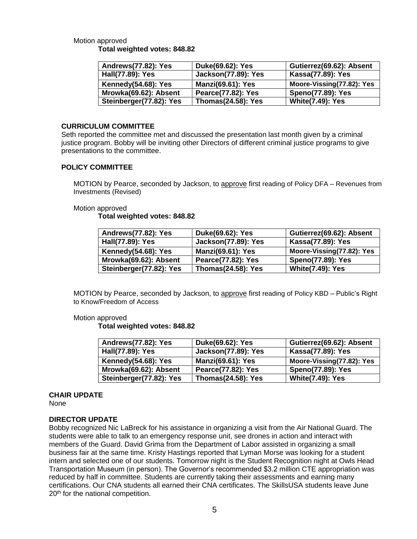## Motion approved **Total weighted votes: 848.82**

| Andrews(77.82): Yes     | Duke(69.62): Yes           | Gutierrez(69.62): Absent  |
|-------------------------|----------------------------|---------------------------|
| Hall(77.89): Yes        | <b>Jackson(77.89): Yes</b> | Kassa(77.89): Yes         |
| Kennedy(54.68): Yes     | <b>Manzi(69.61): Yes</b>   | Moore-Vissing(77.82): Yes |
| Mrowka(69.62): Absent   | Pearce(77.82): Yes         | <b>Speno(77.89): Yes</b>  |
| Steinberger(77.82): Yes | <b>Thomas(24.58): Yes</b>  | <b>White(7.49): Yes</b>   |

## **CURRICULUM COMMITTEE**

Seth reported the committee met and discussed the presentation last month given by a criminal justice program. Bobby will be inviting other Directors of different criminal justice programs to give presentations to the committee.

## **POLICY COMMITTEE**

MOTION by Pearce, seconded by Jackson, to approve first reading of Policy DFA – Revenues from Investments (Revised)

## Motion approved

**Total weighted votes: 848.82**

| Andrews(77.82): Yes     | Duke(69.62): Yes           | Gutierrez(69.62): Absent  |
|-------------------------|----------------------------|---------------------------|
| Hall(77.89): Yes        | <b>Jackson(77.89): Yes</b> | Kassa(77.89): Yes         |
| Kennedy(54.68): Yes     | <b>Manzi(69.61): Yes</b>   | Moore-Vissing(77.82): Yes |
| Mrowka(69.62): Absent   | Pearce(77.82): Yes         | <b>Speno(77.89): Yes</b>  |
| Steinberger(77.82): Yes | <b>Thomas(24.58): Yes</b>  | <b>White(7.49): Yes</b>   |

MOTION by Pearce, seconded by Jackson, to approve first reading of Policy KBD – Public's Right to Know/Freedom of Access

## Motion approved

**Total weighted votes: 848.82**

| Andrews(77.82): Yes     | Duke(69.62): Yes           | Gutierrez(69.62): Absent  |
|-------------------------|----------------------------|---------------------------|
| Hall(77.89): Yes        | <b>Jackson(77.89): Yes</b> | Kassa(77.89): Yes         |
| Kennedy(54.68): Yes     | <b>Manzi(69.61): Yes</b>   | Moore-Vissing(77.82): Yes |
| Mrowka(69.62): Absent   | Pearce(77.82): Yes         | <b>Speno(77.89): Yes</b>  |
| Steinberger(77.82): Yes | <b>Thomas(24.58): Yes</b>  | <b>White(7.49): Yes</b>   |

# **CHAIR UPDATE**

None

# **DIRECTOR UPDATE**

Bobby recognized Nic LaBreck for his assistance in organizing a visit from the Air National Guard. The students were able to talk to an emergency response unit, see drones in action and interact with members of the Guard. David Grima from the Department of Labor assisted in organizing a small business fair at the same time. Kristy Hastings reported that Lyman Morse was looking for a student intern and selected one of our students. Tomorrow night is the Student Recognition night at Owls Head Transportation Museum (in person). The Governor's recommended \$3.2 million CTE appropriation was reduced by half in committee. Students are currently taking their assessments and earning many certifications. Our CNA students all earned their CNA certificates. The SkillsUSA students leave June 20<sup>th</sup> for the national competition.